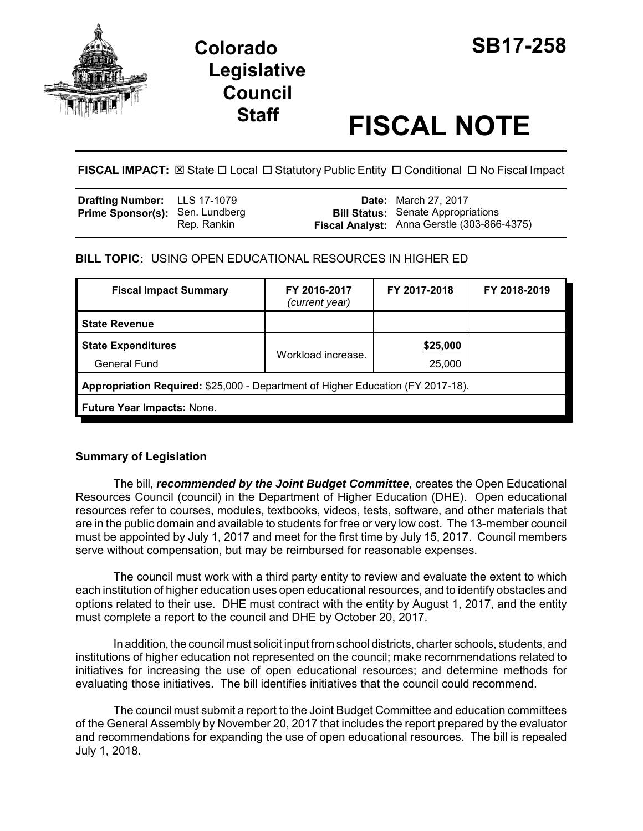

# **Colorado SB17-258 Legislative Council**

# **Staff FISCAL NOTE**

**FISCAL IMPACT:**  $\boxtimes$  **State □ Local □ Statutory Public Entity □ Conditional □ No Fiscal Impact** 

| <b>Drafting Number:</b> LLS 17-1079    |             | <b>Date:</b> March 27, 2017                                                              |
|----------------------------------------|-------------|------------------------------------------------------------------------------------------|
| <b>Prime Sponsor(s): Sen. Lundberg</b> | Rep. Rankin | <b>Bill Status:</b> Senate Appropriations<br>Fiscal Analyst: Anna Gerstle (303-866-4375) |

## **BILL TOPIC:** USING OPEN EDUCATIONAL RESOURCES IN HIGHER ED

| <b>Fiscal Impact Summary</b>                                                    | FY 2016-2017<br>(current year) | FY 2017-2018       | FY 2018-2019 |  |  |
|---------------------------------------------------------------------------------|--------------------------------|--------------------|--------------|--|--|
| <b>State Revenue</b>                                                            |                                |                    |              |  |  |
| <b>State Expenditures</b><br>General Fund                                       | Workload increase.             | \$25,000<br>25,000 |              |  |  |
| Appropriation Required: \$25,000 - Department of Higher Education (FY 2017-18). |                                |                    |              |  |  |
| Future Year Impacts: None.                                                      |                                |                    |              |  |  |

### **Summary of Legislation**

The bill, *recommended by the Joint Budget Committee*, creates the Open Educational Resources Council (council) in the Department of Higher Education (DHE). Open educational resources refer to courses, modules, textbooks, videos, tests, software, and other materials that are in the public domain and available to students for free or very low cost. The 13-member council must be appointed by July 1, 2017 and meet for the first time by July 15, 2017. Council members serve without compensation, but may be reimbursed for reasonable expenses.

The council must work with a third party entity to review and evaluate the extent to which each institution of higher education uses open educational resources, and to identify obstacles and options related to their use. DHE must contract with the entity by August 1, 2017, and the entity must complete a report to the council and DHE by October 20, 2017.

In addition, the council must solicit input from school districts, charter schools, students, and institutions of higher education not represented on the council; make recommendations related to initiatives for increasing the use of open educational resources; and determine methods for evaluating those initiatives. The bill identifies initiatives that the council could recommend.

The council must submit a report to the Joint Budget Committee and education committees of the General Assembly by November 20, 2017 that includes the report prepared by the evaluator and recommendations for expanding the use of open educational resources. The bill is repealed July 1, 2018.